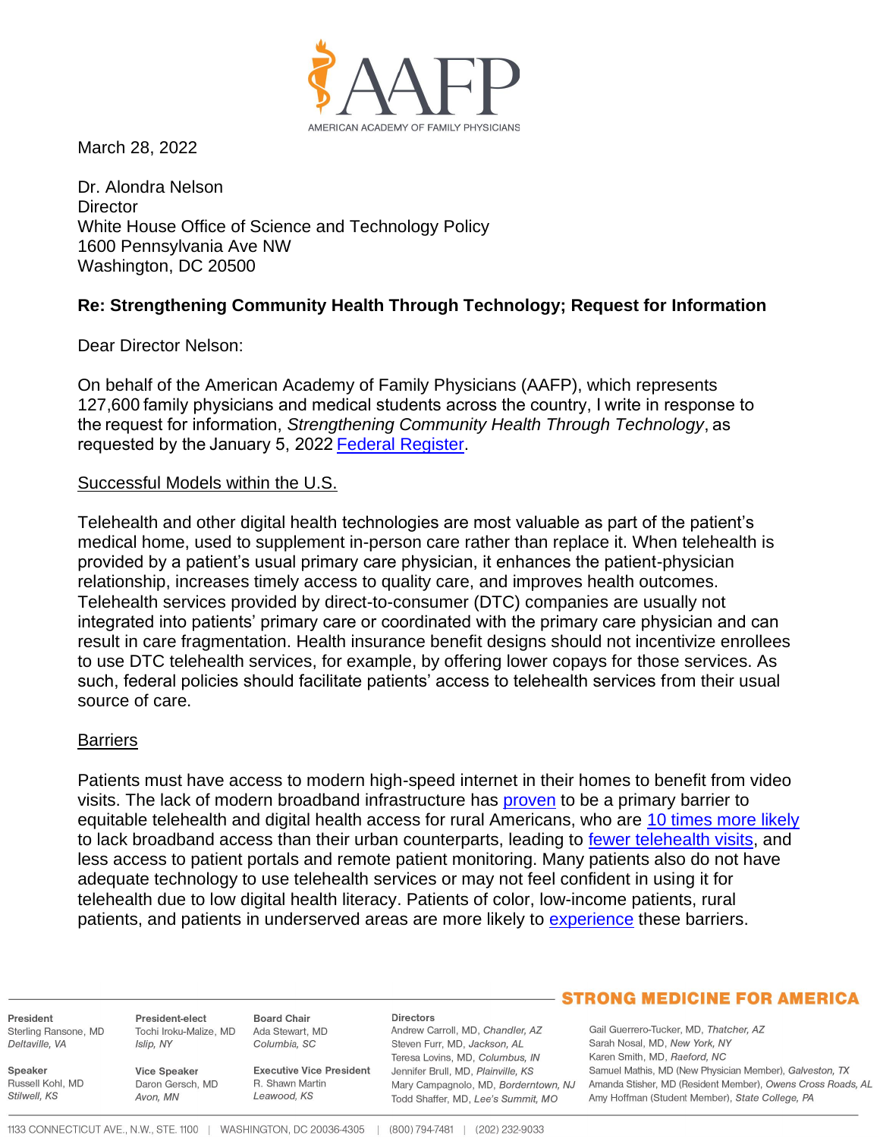

March 28, 2022

Dr. Alondra Nelson **Director** White House Office of Science and Technology Policy 1600 Pennsylvania Ave NW Washington, DC 20500

# **Re: Strengthening Community Health Through Technology; Request for Information**

Dear Director Nelson:

On behalf of the American Academy of Family Physicians (AAFP), which represents 127,600 family physicians and medical students across the country, I write in response to the request for information, *Strengthening Community Health Through Technology*, as requested by the January 5, 2022[Federal Register.](https://www.govinfo.gov/content/pkg/FR-2022-01-05/pdf/2021-28193.pdf)

#### Successful Models within the U.S.

Telehealth and other digital health technologies are most valuable as part of the patient's medical home, used to supplement in-person care rather than replace it. When telehealth is provided by a patient's usual primary care physician, it enhances the patient-physician relationship, increases timely access to quality care, and improves health outcomes. Telehealth services provided by direct-to-consumer (DTC) companies are usually not integrated into patients' primary care or coordinated with the primary care physician and can result in care fragmentation. Health insurance benefit designs should not incentivize enrollees to use DTC telehealth services, for example, by offering lower copays for those services. As such, federal policies should facilitate patients' access to telehealth services from their usual source of care.

## **Barriers**

Patients must have access to modern high-speed internet in their homes to benefit from video visits. The lack of modern broadband infrastructure has [proven](https://academic.oup.com/jamia/article/27/11/1816/5863253) to be a primary barrier to equitable telehealth and digital health access for rural Americans, who are [10 times more likely](https://sgp.fas.org/crs/misc/RL33816.pdf) to lack broadband access than their urban counterparts, leading to [fewer telehealth visits,](https://www.healthaffairs.org/do/10.1377/forefront.20200505.591306/full/) and less access to patient portals and remote patient monitoring. Many patients also do not have adequate technology to use telehealth services or may not feel confident in using it for telehealth due to low digital health literacy. Patients of color, low-income patients, rural patients, and patients in underserved areas are more likely to [experience](https://www.aafp.org/dam/AAFP/documents/advocacy/health_it/telehealth/TS-SenateCommerceCmte-RansoneTelehealth-100721.pdf) these barriers.

President Sterling Ransone, MD Deltaville, VA

Russell Kohl, MD

Speaker

Stilwell, KS

President-elect **Board Chair** Tochi Iroku-Malize, MD Ada Stewart, MD Islip, NY Columbia, SC

**Vice Speaker** Daron Gersch, MD Avon, MN

**Executive Vice President** R. Shawn Martin Leawood, KS

#### Directors

Andrew Carroll, MD, Chandler, AZ Steven Furr, MD, Jackson, AL Teresa Lovins, MD, Columbus, IN Jennifer Brull, MD, Plainville, KS Todd Shaffer, MD, Lee's Summit, MO

## **STRONG MEDICINE FOR AMERICA**

Gail Guerrero-Tucker, MD, Thatcher, AZ Sarah Nosal, MD, New York, NY Karen Smith, MD, Raeford, NC Samuel Mathis, MD (New Physician Member), Galveston, TX Mary Campagnolo, MD, Borderntown, NJ Amanda Stisher, MD (Resident Member), Owens Cross Roads, AL Amy Hoffman (Student Member), State College, PA

1133 CONNECTICUT AVE., N.W., STE. 1100 | WASHINGTON, DC 20036-4305 | (800) 794-7481 | (202) 232-9033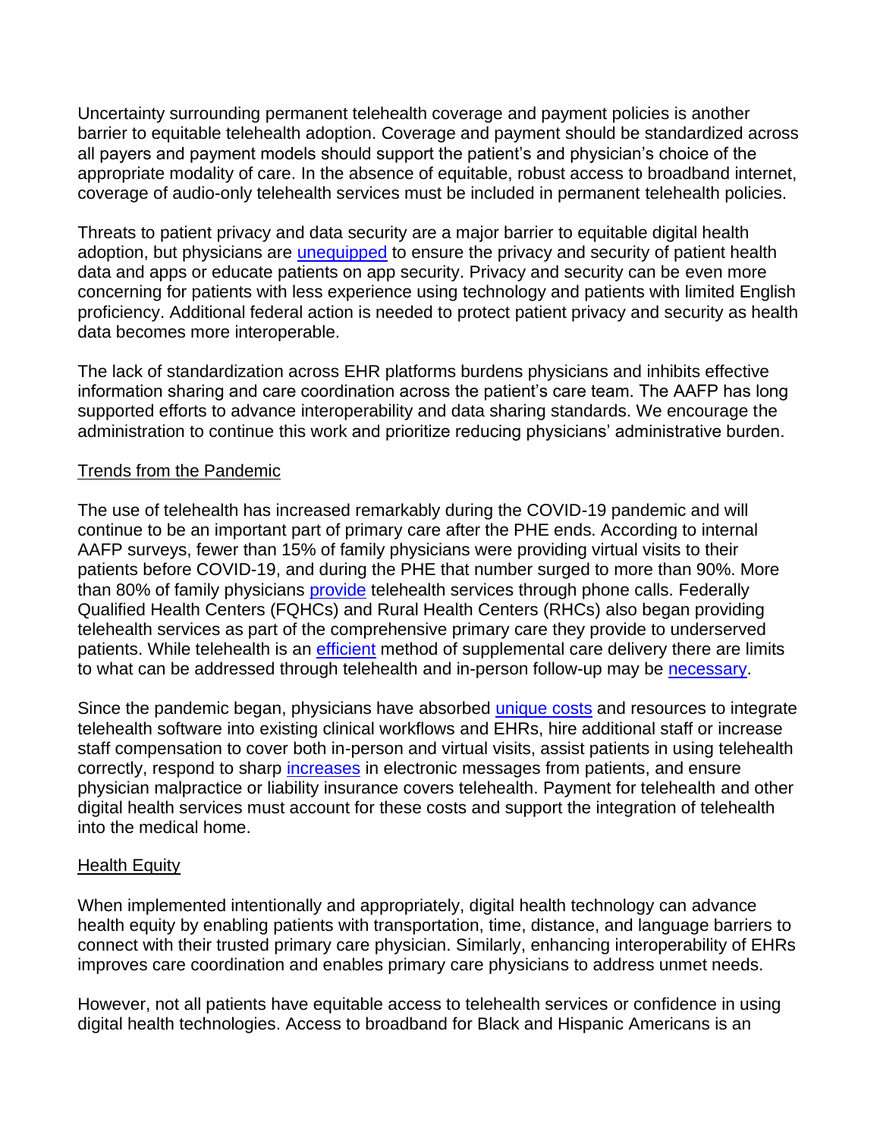Uncertainty surrounding permanent telehealth coverage and payment policies is another barrier to equitable telehealth adoption. Coverage and payment should be standardized across all payers and payment models should support the patient's and physician's choice of the appropriate modality of care. In the absence of equitable, robust access to broadband internet, coverage of audio-only telehealth services must be included in permanent telehealth policies.

Threats to patient privacy and data security are a major barrier to equitable digital health adoption, but physicians are *[unequipped](https://www.aafp.org/dam/AAFP/documents/advocacy/health_it/ehr/LT-ONC-CMS-FHIRBasedAPIs-010522.pdf)* to ensure the privacy and security of patient health data and apps or educate patients on app security. Privacy and security can be even more concerning for patients with less experience using technology and patients with limited English proficiency. Additional federal action is needed to protect patient privacy and security as health data becomes more interoperable.

The lack of standardization across EHR platforms burdens physicians and inhibits effective information sharing and care coordination across the patient's care team. The AAFP has long supported efforts to advance interoperability and data sharing standards. We encourage the administration to continue this work and prioritize reducing physicians' administrative burden.

# Trends from the Pandemic

The use of telehealth has increased remarkably during the COVID-19 pandemic and will continue to be an important part of primary care after the PHE ends. According to internal AAFP surveys, fewer than 15% of family physicians were providing virtual visits to their patients before COVID-19, and during the PHE that number surged to more than 90%. More than 80% of family physicians [provide](https://www.aafp.org/dam/AAFP/documents/advocacy/health_it/telehealth/TS-SenateFinanceCmte-DavisTelehealth-051921.pdf) telehealth services through phone calls. Federally Qualified Health Centers (FQHCs) and Rural Health Centers (RHCs) also began providing telehealth services as part of the comprehensive primary care they provide to underserved patients. While telehealth is an [efficient](https://www.kyruus.com/patient-perspectives-on-virtual-care-report-2020-lp) method of supplemental care delivery there are limits to what can be addressed through telehealth and in-person follow-up may be [necessary.](https://jamanetwork.com/journals/jamanetworkopen/fullarticle/2786184)

Since the pandemic began, physicians have absorbed [unique costs](https://www.kff.org/womens-health-policy/issue-brief/opportunities-and-barriers-for-telemedicine-in-the-u-s-during-the-covid-19-emergency-and-beyond/) and resources to integrate telehealth software into existing clinical workflows and EHRs, hire additional staff or increase staff compensation to cover both in-person and virtual visits, assist patients in using telehealth correctly, respond to sharp [increases](https://jamanetwork.com/journals/jamanetworkopen/fullarticle/2784817) in electronic messages from patients, and ensure physician malpractice or liability insurance covers telehealth. Payment for telehealth and other digital health services must account for these costs and support the integration of telehealth into the medical home.

## Health Equity

When implemented intentionally and appropriately, digital health technology can advance health equity by enabling patients with transportation, time, distance, and language barriers to connect with their trusted primary care physician. Similarly, enhancing interoperability of EHRs improves care coordination and enables primary care physicians to address unmet needs.

However, not all patients have equitable access to telehealth services or confidence in using digital health technologies. Access to broadband for Black and Hispanic Americans is an